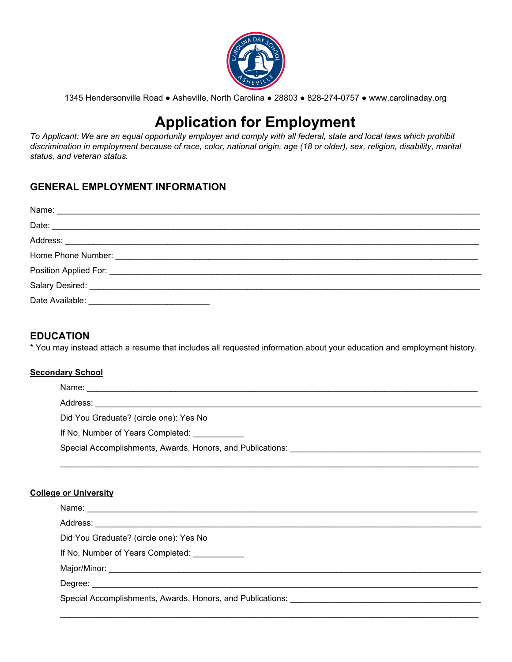

1345 Hendersonville Road ● Asheville, North Carolina ● 28803 ● 828-274-0757 ● <www.carolinaday.org>

# **Application for Employment**

To Applicant: We are an equal opportunity employer and comply with all federal, state and local laws which prohibit discrimination in employment because of race, color, national origin, age (18 or older), sex, religion, disability, marital  *status, and veteran status.*

# **GENERAL EMPLOYMENT INFORMATION**

# **EDUCATION**

\* You may instead attach a resume that includes all requested information about your education and employment history.

#### **Secondary School**

| Did You Graduate? (circle one): Yes No                     |
|------------------------------------------------------------|
| If No, Number of Years Completed:                          |
| Special Accomplishments, Awards, Honors, and Publications: |
|                                                            |

#### **College or University**

| Did You Graduate? (circle one): Yes No                     |  |
|------------------------------------------------------------|--|
| If No, Number of Years Completed: ___________              |  |
|                                                            |  |
|                                                            |  |
| Special Accomplishments, Awards, Honors, and Publications: |  |
|                                                            |  |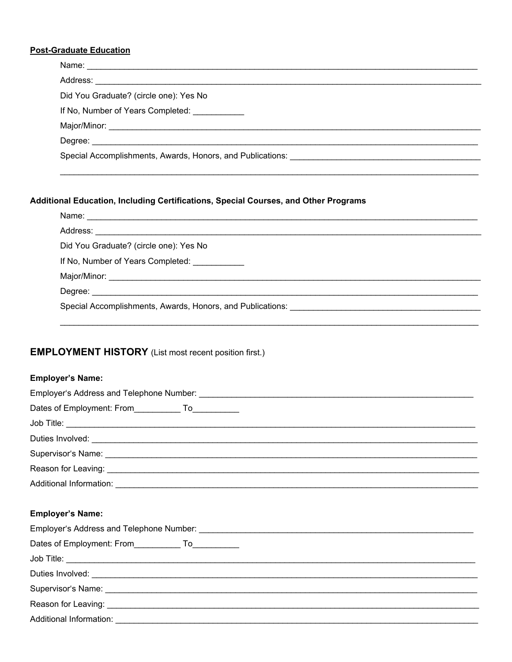#### **Post-Graduate Education**

| Did You Graduate? (circle one): Yes No        |  |
|-----------------------------------------------|--|
| If No, Number of Years Completed: ___________ |  |
|                                               |  |
|                                               |  |
|                                               |  |
|                                               |  |

## Additional Education, Including Certifications, Special Courses, and Other Programs

| Did You Graduate? (circle one): Yes No                     |  |
|------------------------------------------------------------|--|
| If No, Number of Years Completed: ___________              |  |
|                                                            |  |
|                                                            |  |
| Special Accomplishments, Awards, Honors, and Publications: |  |

# **EMPLOYMENT HISTORY** (List most recent position first.)

## **Employer's Name:**

| Additional Information: |  |
|-------------------------|--|

# **Employer's Name:**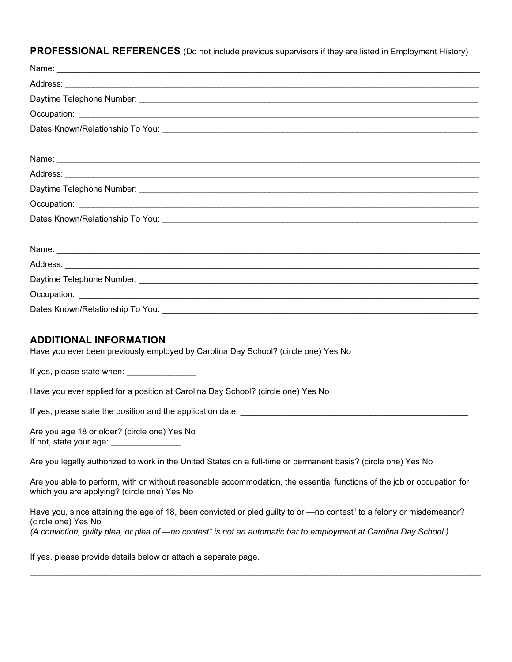**PROFESSIONAL REFERENCES** (Do not include previous supervisors if they are listed in Employment History)

| Dates Known/Relationship To You: |  |
|----------------------------------|--|

#### **ADDITIONAL INFORMATION**

Have you ever been previously employed by Carolina Day School? (circle one) Yes No

If yes, please state when: \_\_\_\_\_\_\_\_\_\_\_\_\_\_\_

Have you ever applied for a position at Carolina Day School? (circle one) Yes No

If yes, please state the position and the application date: \_\_\_\_\_\_\_\_\_\_\_\_\_\_\_\_\_\_\_\_\_\_\_\_\_\_\_\_\_\_\_\_\_\_\_\_\_\_\_\_\_\_\_\_\_\_\_\_\_

 Are you age 18 or older? (circle one) Yes No If not, state your age: \_\_\_\_\_\_\_\_\_\_\_\_\_\_\_

Are you legally authorized to work in the United States on a full-time or permanent basis? (circle one) Yes No

 Are you able to perform, with or without reasonable accommodation, the essential functions of the job or occupation for which you are applying? (circle one) Yes No

 Have you, since attaining the age of 18, been convicted or pled guilty to or —no contest" to a felony or misdemeanor? (circle one) Yes No (A conviction, guilty plea, or plea of —no contest" is not an automatic bar to employment at Carolina Day School.)

 $\mathcal{L}_\mathcal{L} = \{ \mathcal{L}_\mathcal{L} = \{ \mathcal{L}_\mathcal{L} = \{ \mathcal{L}_\mathcal{L} = \{ \mathcal{L}_\mathcal{L} = \{ \mathcal{L}_\mathcal{L} = \{ \mathcal{L}_\mathcal{L} = \{ \mathcal{L}_\mathcal{L} = \{ \mathcal{L}_\mathcal{L} = \{ \mathcal{L}_\mathcal{L} = \{ \mathcal{L}_\mathcal{L} = \{ \mathcal{L}_\mathcal{L} = \{ \mathcal{L}_\mathcal{L} = \{ \mathcal{L}_\mathcal{L} = \{ \mathcal{L}_\mathcal{$  $\mathcal{L}_\mathcal{L} = \{ \mathcal{L}_\mathcal{L} = \{ \mathcal{L}_\mathcal{L} = \{ \mathcal{L}_\mathcal{L} = \{ \mathcal{L}_\mathcal{L} = \{ \mathcal{L}_\mathcal{L} = \{ \mathcal{L}_\mathcal{L} = \{ \mathcal{L}_\mathcal{L} = \{ \mathcal{L}_\mathcal{L} = \{ \mathcal{L}_\mathcal{L} = \{ \mathcal{L}_\mathcal{L} = \{ \mathcal{L}_\mathcal{L} = \{ \mathcal{L}_\mathcal{L} = \{ \mathcal{L}_\mathcal{L} = \{ \mathcal{L}_\mathcal{$  $\mathcal{L}_\mathcal{L} = \{ \mathcal{L}_\mathcal{L} = \{ \mathcal{L}_\mathcal{L} = \{ \mathcal{L}_\mathcal{L} = \{ \mathcal{L}_\mathcal{L} = \{ \mathcal{L}_\mathcal{L} = \{ \mathcal{L}_\mathcal{L} = \{ \mathcal{L}_\mathcal{L} = \{ \mathcal{L}_\mathcal{L} = \{ \mathcal{L}_\mathcal{L} = \{ \mathcal{L}_\mathcal{L} = \{ \mathcal{L}_\mathcal{L} = \{ \mathcal{L}_\mathcal{L} = \{ \mathcal{L}_\mathcal{L} = \{ \mathcal{L}_\mathcal{$ 

If yes, please provide details below or attach a separate page.